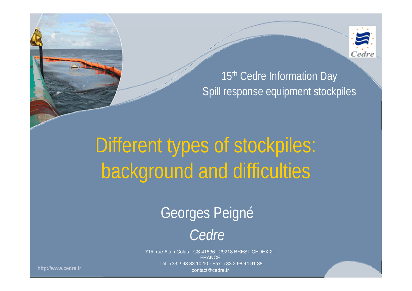

#### 15<sup>th</sup> Cedre Information Day Spill response equipment stockpiles

# Different types of stockpiles: background and difficulties

### Georges Peigné

### *Cedre*

715, rue Alain Colas - CS 41836 - 29218 BREST CEDEX 2 - **FRANCE** Tel: +33 2 98 33 10 10 - Fax: +33 2 98 44 91 38 contact@cedre.fr

**http://www.cedre.fr**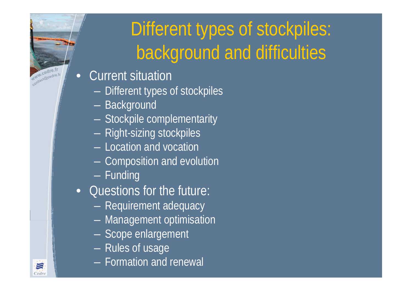### Different types of stockpiles: background and difficulties

- •• Current situation
	- Different types of stockpiles
	- Background
	- $\mathcal{L}_{\mathcal{A}}$  , where  $\mathcal{L}_{\mathcal{A}}$  is the set of the set of the set of the set of the set of the set of the set of the set of the set of the set of the set of the set of the set of the set of the set of the set of the - Stockpile complementarity
	- Right-sizing stockpiles
	- Location and vocation
	- $\mathcal{L}_{\mathcal{A}}$  , where  $\mathcal{L}_{\mathcal{A}}$  is the set of the set of the set of the set of the set of the set of the set of the set of the set of the set of the set of the set of the set of the set of the set of the set of the Composition and evolution
	- Funding
- Questions for the future:
	- Requirement adequacy
	- –Management optimisation
	- Scope enlargement
	- $-$  Rules of usage
	- Formation and renewal



www.cedre.fr www.cedre.ir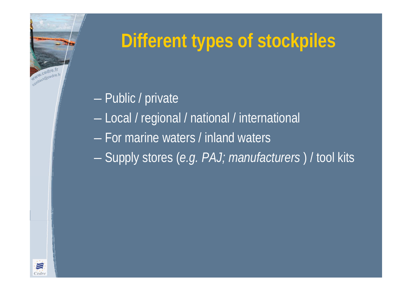# www.cedre.f www.cedre.ir 三 *cdr*

### **Different types of stockpiles**

### Public / private

- Local / regional / national / international
- For marine waters / inland waters
- Supply stores (*e.g. PAJ; manufacturers* ) / tool kits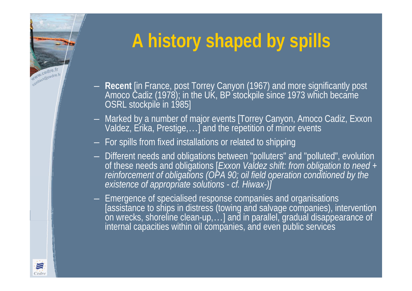### **A history shaped by spills**

- **Recent** [in France, post Torrey Canyon (1967) and more significantly post Amoco Cadiz (1978); in the UK, BP stockpile since 1973 which became OSRL stockpile in 1985]
- Marked by a number of major events [Torrey Canyon, Amoco Cadiz, Exxon Valdez, Erika, Prestige, …] and the repetition of minor events
- $-$  For spills from fixed installations or related to shipping
- Different needs and obligations between "polluters" and "polluted", evolution<br>of these needs and obligations [*Exxon Valdez shift: from obligation to need +*<br>reinforcement of obligations (OPA 90; oil field operation cond
- Emergence of specialised response companies and organisations<br>[assistance to ships in distress (towing and salvage companies), intervention on wrecks, shoreline clean-up, …] and in parallel, gradual disappearance of internal capacities within oil companies, and even public services



With Cedre.fr Www.cedre.fr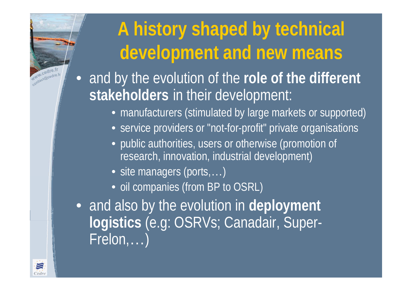### **A history shaped by technical development and new means**

- $\bullet$  and by the evolution of the **role of the different stakeholders** in their development:
	- manufacturers (stimulated by large markets or supported)
	- service providers or "not-for-profit" private organisations
	- public authorities, users or otherwise (promotion of research, innovation, industrial development)
	- site managers (ports,...)
	- oil companies (from BP to OSRL)
- and also by the evolution in **deployment logistics** (e.g: OSRVs; Canadair, Super-Frelon, … )



www.cedre.f www.cedre.tr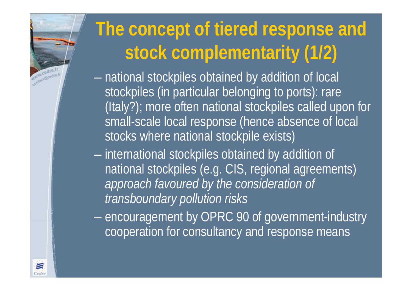### **The concept of tiered response and stock complementarity (1/2)**

 national stockpiles obtained by addition of local stockpiles (in particular belonging to ports): rare (Italy?); more often national stockpiles called upon for small-scale local response (hence absence of local stocks where national stockpile exists)

 $-$  international stockpiles obtained by addition of national stockpiles (e.g. CIS, regional agreements) *approach favoured by the consideration of transboundary pollution risks*

- encouragement by OPRC 90 of government-industry cooperation for consultancy and response means



WWW.cedre.fr www.cedre.ir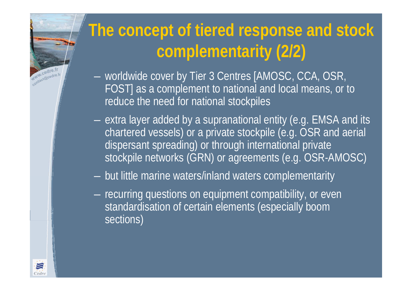### **The concept of tiered response and stock complementarity (2/2)** Wind Cedre.fr www.cedre.ir — worldwide cover by Tier 3 Centres [AMOSC, CCA, OSR, FOST] as a complement to national and local means, or to reduce the need for national stockpiles  $-$  extra layer added by a supranational entity (e.g. EMSA and its chartered vessels) or a private stockpile (e.g. OSR and aerial dispersant spreading) or through international private stockpile networks (GRN) or agreements (e.g. OSR-AMOSC) but little marine waters/inland waters complementarity  $-$  recurring questions on equipment compatibility, or even  $\mathcal{L}_{\mathcal{A}}$  , where  $\mathcal{L}_{\mathcal{A}}$  is the set of the set of the set of the set of the set of the set of the set of the set of the set of the set of the set of the set of the set of the set of the set of the set of the standardisation of certain elements (especially boom sections)三 Cedri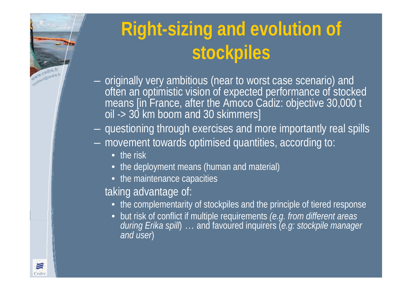

### **Right-sizing and evolution of stockpiles**

- $-$  originally very ambitious (near to worst case scenario) and means [in France, after the Amoco Cadiz: objective 30,000 t oil -> 30 km boom and 30 skimmers]
- questioning through exercises and more importantly real spills
- $\mathcal{L}_{\mathcal{A}}$  movement towards optimised quantities, according to:
	- the risk
	- the deployment means (human and material)
	- the maintenance capacities

taking advantage of:

- the complementarity of stockpiles and the principle of tiered response
- but risk of conflict if multiple requirements *(e.g. from different areas during Erika spill*) … and favoured inquirers (*e.g: stockpile manager and user*)

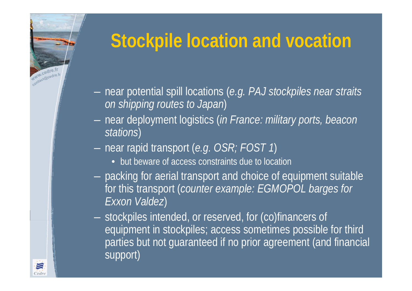# www.cedre.fr www.cedre.tr 三

### **Stockpile location and vocation**

- $\mathcal{L}_{\mathcal{A}}$  near potential spill locations (*e.g. PAJ stockpiles near straits on shipping routes to Japan* )
- near deployment logistics (*in France: military ports, beacon stations* )
- near rapid transport (*e.g. OSR; FOST 1*)
	- but beware of access constraints due to location
- – packing for aerial transport and choice of equipment suitable for this transport (*counter example: EGMOPOL barges for Exxon Valdez* )
- $\mathcal{L}_{\mathcal{A}}$  , where  $\mathcal{L}_{\mathcal{A}}$  is the set of the set of the set of the set of the set of the set of the set of the set of the set of the set of the set of the set of the set of the set of the set of the set of the stockpiles intended, or reserved, for (co)financers of equipment in stockpiles; access sometimes possible for third parties but not guaranteed if no prior agreement (and financial support)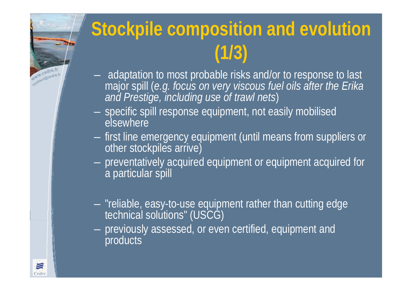

# **Stockpile composition and evolution (1/3)**

- adaptation to most probable risks and/or to response to last major spill (*e.g. focus on very viscous fuel oils after the Erika and Prestige, including use of trawl nets* )
- specific spill response equipment, not easily mobilised elsewhere
- first line emergency equipment (until means from suppliers or<br>other stockpiles arrive)
- preventatively acquired equipment or equipment acquired for a particular spill
- "reliable, easy-to-use equipment rather than cutting edge technical solutions" (USCG)
- previously assessed, or even certified, equipment and **products**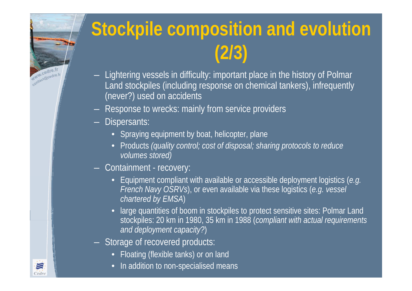

### **Stockpile composition and evolution (2/3)**

- Lightering vessels in difficulty: important place in the history of Polmar Land stockpiles (including response on chemical tankers), infrequently (never?) used on accidents
- Response to wrecks: mainly from service providers
- Dispersants:
	- Spraying equipment by boat, helicopter, plane
	- Products *(quality control; cost of disposal; sharing protocols to reduce volumes stored)*
- Containment recovery:
	- Equipment compliant with available or accessible deployment logistics (*e.g. French Navy OSRVs*), or even available via these logistics (*e.g. vessel chartered by EMSA*)
	- large quantities of boom in stockpiles to protect sensitive sites: Polmar Land stockpiles: 20 km in 1980, 35 km in 1988 (*compliant with actual requirements and deployment capacity?*)
- Storage of recovered products:
	- Floating (flexible tanks) or on land
	- In addition to non-specialised means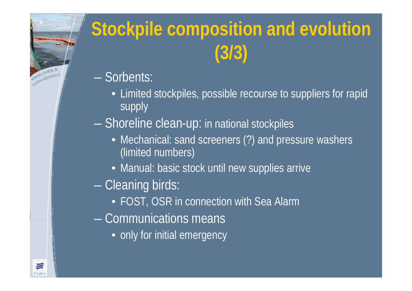

# **Stockpile composition and evolution (3/3)**

- Sorbents:
	- Limited stockpiles, possible recourse to suppliers for rapid supply
- Shoreline clean-up: in national stockpiles
	- Mechanical: sand screeners (?) and pressure washers (limited numbers)
	- Manual: basic stock until new supplies arrive
- Cleaning birds:
	- FOST, OSR in connection with Sea Alarm
- Communications means
	- only for initial emergency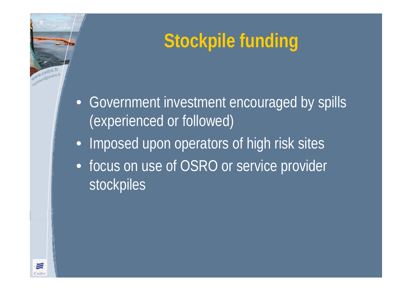### **Stockpile funding**

- Government investment encouraged by spills (experienced or followed)
- •Imposed upon operators of high risk sites
- focus on use of OSRO or service provider stockpiles



WWW.cedre.f www.cedre.fr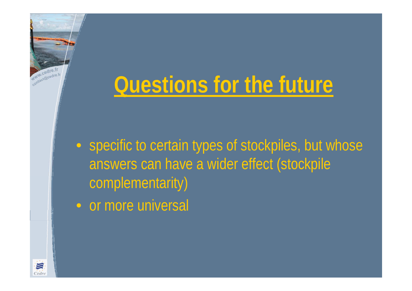# **Questions for the future**

• specific to certain types of stockpiles, but whose answers can have a wider effect (stockpile complementarity)

• or more universal



www.cedre.fr Www.cedre.fr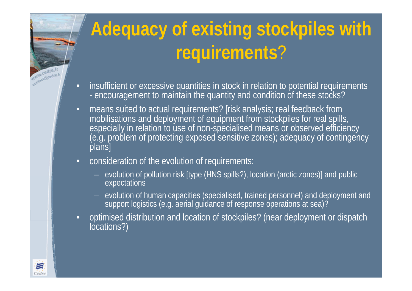# **Adequacy of existing stockpiles with requirements** ?

- $\bullet$  insufficient or excessive quantities in stock in relation to potential requirements encouragement to maintain the quantity and condition of these stocks?
- • means suited to actual requirements? [risk analysis; real feedback from mobilisations and deployment of equipment from stockpiles for real spills, especially in relation to use of non-specialised means or observed efficiency<br>(e.g. problem of protecting exposed sensitive zones); adequacy of contingency<br>plans]
- • consideration of the evolution of requirements:
	- $-$  evolution of pollution risk [type (HNS spills?), location (arctic zones)] and public expectations
	- evolution of human capacities (specialised, trained personnel) and deployment and<br>support logistics (e.g. aerial guidance of response operations at sea)?
- •optimised distribution and location of stockpiles? (near deployment or dispatch locations?)



www.cedre.fr WWW.cedre.fr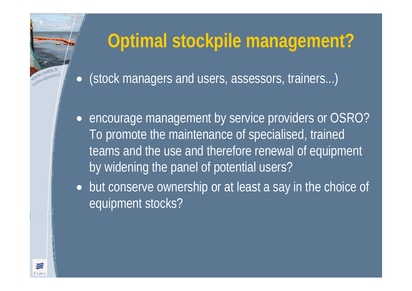### **Optimal stockpile management?**

 $\bullet$ (stock managers and users, assessors, trainers...)

- encourage management by service providers or OSRO? To promote the maintenance of specialised, trained teams and the use and therefore renewal of equipment by widening the panel of potential users?
- but conserve ownership or at least a say in the choice of equipment stocks?



www.cedre. www.cedre.ir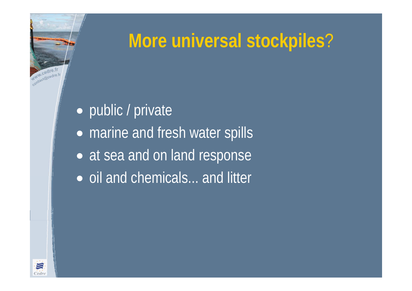### **More universal stockpiles** ?

 $\bullet$ • public / private  $\bullet$ • marine and fresh water spills  $\bullet$ • at sea and on land response • oil and chemicals... and litter



www.cedre.f WWW.Cedre.fr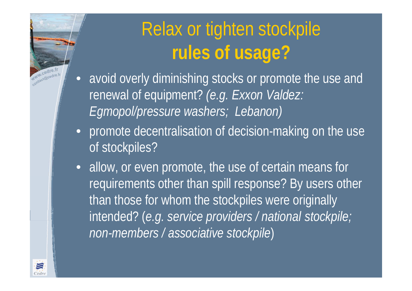### Relax or tighten stockpile **rules of usage?**

- $\bullet$  avoid overly diminishing stocks or promote the use and renewal of equipment? *(e.g. Exxon Valdez: Egmopol/pressure washers; Lebanon)*
- promote decentralisation of decision-making on the use of stockpiles?
- allow, or even promote, the use of certain means for requirements other than spill response? By users other than those for whom the stockpiles were originally intended? (*e.g. service providers / national stockpile; non-members / associative stockpile* )



www.cedre. www.cadre.ir